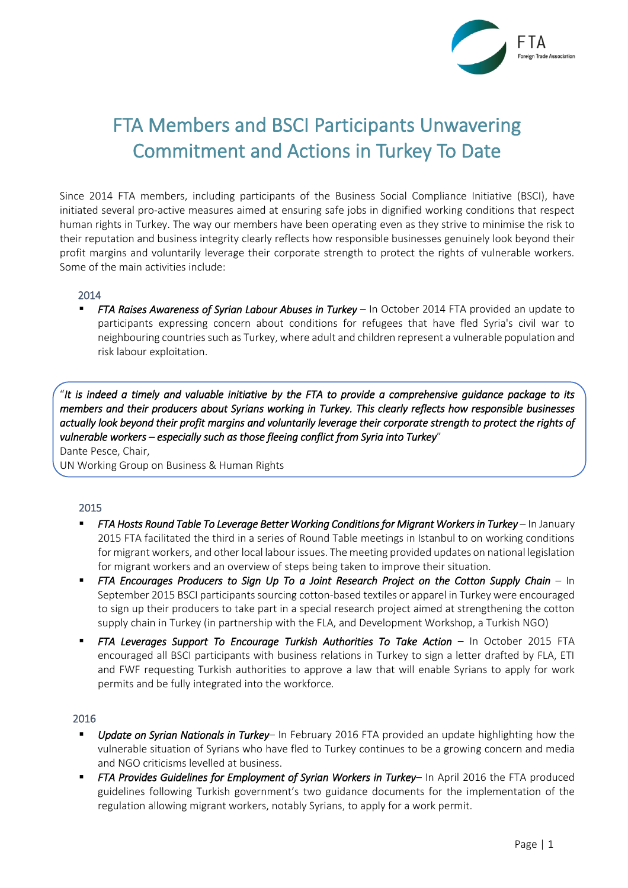

# FTA Members and BSCI Participants Unwavering Commitment and Actions in Turkey To Date

Since 2014 FTA members, including participants of the Business Social Compliance Initiative (BSCI), have initiated several pro-active measures aimed at ensuring safe jobs in dignified working conditions that respect human rights in Turkey. The way our members have been operating even as they strive to minimise the risk to their reputation and business integrity clearly reflects how responsible businesses genuinely look beyond their profit margins and voluntarily leverage their corporate strength to protect the rights of vulnerable workers. Some of the main activities include:

#### 2014

 *FTA Raises Awareness of Syrian Labour Abuses in Turkey* – In October 2014 FTA provided an update to participants expressing concern about conditions for refugees that have fled Syria's civil war to neighbouring countries such as Turkey, where adult and children represent a vulnerable population and risk labour exploitation.

"*It is indeed a timely and valuable initiative by the FTA to provide a comprehensive guidance package to its members and their producers about Syrians working in Turkey. This clearly reflects how responsible businesses actually look beyond their profit margins and voluntarily leverage their corporate strength to protect the rights of vulnerable workers – especially such as those fleeing conflict from Syria into Turkey*"

Dante Pesce, Chair, UN Working Group on Business & Human Rights

### 2015

- **FTA Hosts Round Table To Leverage Better Working Conditions for Migrant Workers in Turkey** In January 2015 FTA facilitated the third in a series of Round Table meetings in Istanbul to on working conditions for migrant workers, and other local labour issues. The meeting provided updates on national legislation for migrant workers and an overview of steps being taken to improve their situation.
- *FTA Encourages Producers to Sign Up To a Joint Research Project on the Cotton Supply Chain In* September 2015 BSCI participants sourcing cotton-based textiles or apparel in Turkey were encouraged to sign up their producers to take part in a special research project aimed at strengthening the cotton supply chain in Turkey (in partnership with the FLA, and Development Workshop, a Turkish NGO)
- **FTA Leverages Support To Encourage Turkish Authorities To Take Action In October 2015 FTA** encouraged all BSCI participants with business relations in Turkey to sign a letter drafted by FLA, ETI and FWF requesting Turkish authorities to approve a law that will enable Syrians to apply for work permits and be fully integrated into the workforce.

#### 2016

- *Update on Syrian Nationals in Turkey* In February 2016 FTA provided an update highlighting how the vulnerable situation of Syrians who have fled to Turkey continues to be a growing concern and media and NGO criticisms levelled at business.
- *FTA Provides Guidelines for Employment of Syrian Workers in Turkey* In April 2016 the FTA produced guidelines following Turkish government's two guidance documents for the implementation of the regulation allowing migrant workers, notably Syrians, to apply for a work permit.